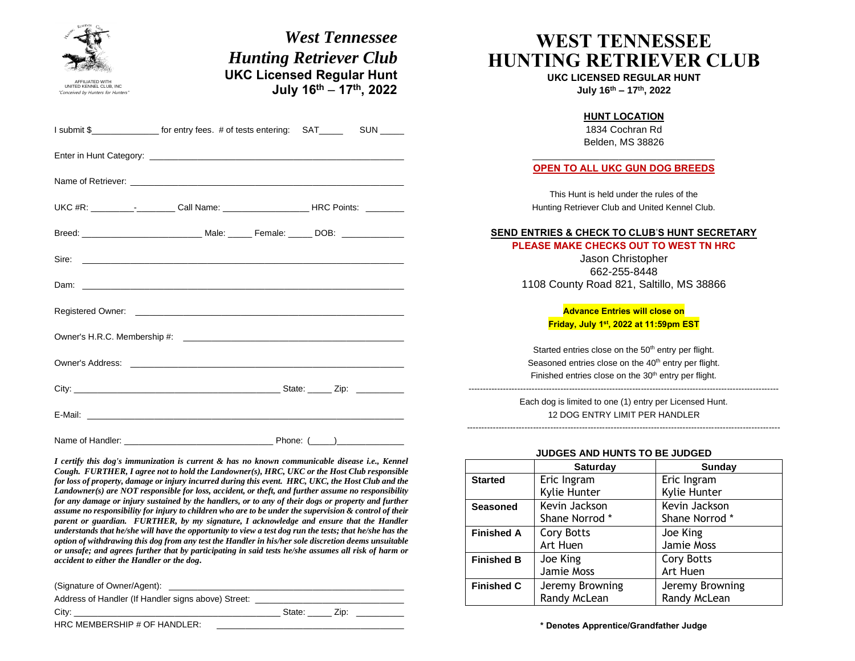| AFFILIATED WITH<br>UNITED KENNEL CLUB, INC<br>"Conceived by Hunters for Hunters | <b>West Tennessee</b><br><b>Hunting Retriever Club</b><br><b>UKC Licensed Regular Hunt</b><br>July 16th - 17th, 2022                                                                                                                                                                                     |                                                                                                                                                                                                         | <b>WEST TENNESSEE</b><br>UKC LICENSED REGULAR HUNT<br>July 16th - 17th, 2022  | <b>HUNTING RETRIEVER CLUB</b>   |
|---------------------------------------------------------------------------------|----------------------------------------------------------------------------------------------------------------------------------------------------------------------------------------------------------------------------------------------------------------------------------------------------------|---------------------------------------------------------------------------------------------------------------------------------------------------------------------------------------------------------|-------------------------------------------------------------------------------|---------------------------------|
|                                                                                 | I submit \$ for entry fees. # of tests entering: SAT SUN _____                                                                                                                                                                                                                                           | <b>HUNT LOCATION</b><br>1834 Cochran Rd<br>Belden, MS 38826                                                                                                                                             |                                                                               |                                 |
|                                                                                 |                                                                                                                                                                                                                                                                                                          | <b>OPEN TO ALL UKC GUN DOG BREEDS</b>                                                                                                                                                                   |                                                                               |                                 |
|                                                                                 | Name of Retriever: <b>Example 20</b> Name of Retriever.<br>UKC #R: _____________________Call Name: _________________________HRC Points: _________                                                                                                                                                        | This Hunt is held under the rules of the<br>Hunting Retriever Club and United Kennel Club.                                                                                                              |                                                                               |                                 |
|                                                                                 |                                                                                                                                                                                                                                                                                                          | <b>SEND ENTRIES &amp; CHECK TO CLUB'S HUNT SECRETARY</b><br>PLEASE MAKE CHECKS OUT TO WEST TN HRC<br>Jason Christopher<br>662-255-8448<br>1108 County Road 821, Saltillo, MS 38866                      |                                                                               |                                 |
|                                                                                 |                                                                                                                                                                                                                                                                                                          |                                                                                                                                                                                                         | <b>Advance Entries will close on</b><br>Friday, July 1st, 2022 at 11:59pm EST |                                 |
|                                                                                 |                                                                                                                                                                                                                                                                                                          | Started entries close on the 50 <sup>th</sup> entry per flight.<br>Seasoned entries close on the 40 <sup>th</sup> entry per flight.<br>Finished entries close on the 30 <sup>th</sup> entry per flight. |                                                                               |                                 |
|                                                                                 |                                                                                                                                                                                                                                                                                                          | Each dog is limited to one (1) entry per Licensed Hunt.<br>12 DOG ENTRY LIMIT PER HANDLER                                                                                                               |                                                                               |                                 |
|                                                                                 |                                                                                                                                                                                                                                                                                                          |                                                                                                                                                                                                         | JUDGES AND HUNTS TO BE JUDGED                                                 |                                 |
|                                                                                 | I certify this dog's immunization is current & has no known communicable disease i.e., Kennel<br>Cough. FURTHER, I agree not to hold the Landowner(s), HRC, UKC or the Host Club responsible                                                                                                             |                                                                                                                                                                                                         | <b>Saturday</b>                                                               | Sunday                          |
|                                                                                 | for loss of property, damage or injury incurred during this event. HRC, UKC, the Host Club and the<br>Landowner(s) are NOT responsible for loss, accident, or theft, and further assume no responsibility                                                                                                | <b>Started</b>                                                                                                                                                                                          | Eric Ingram<br>Kylie Hunter                                                   | Eric Ingram<br>Kylie Hunter     |
|                                                                                 | for any damage or injury sustained by the handlers, or to any of their dogs or property and further<br>assume no responsibility for injury to children who are to be under the supervision & control of their<br>parent or guardian. FURTHER, by my signature, I acknowledge and ensure that the Handler | <b>Seasoned</b>                                                                                                                                                                                         | Kevin Jackson<br>Shane Norrod *                                               | Kevin Jackson<br>Shane Norrod * |
|                                                                                 | understands that he/she will have the opportunity to view a test dog run the tests; that he/she has the<br>option of withdrawing this dog from any test the Handler in his/her sole discretion deems unsuitable                                                                                          | <b>Finished A</b>                                                                                                                                                                                       | Cory Botts<br>Art Huen                                                        | Joe King<br>Jamie Moss          |

(Signature of Owner/Agent): \_

Address of Handler (If Handler signs above) Street: \_\_\_\_\_\_\_\_\_ City: \_\_\_\_\_\_\_\_\_\_\_\_\_\_\_\_\_\_\_\_\_\_\_\_\_\_\_\_\_\_\_\_\_\_\_\_\_\_\_\_\_\_\_ State: \_\_\_\_\_ Zip: \_\_\_\_\_\_\_\_\_\_

or unsafe; and agrees further that by participating in said tests he/she assumes all risk of harm or

HRC MEMBERSHIP # OF HANDLER:

*accident to either the Handler or the dog***.**

**\* Denotes Apprentice/Grandfather Judge**

Cory Botts Art Huen

Jeremy Browning Randy McLean

**Finished B** Joe King

Jamie Moss

Randy McLean

**Finished C** Jeremy Browning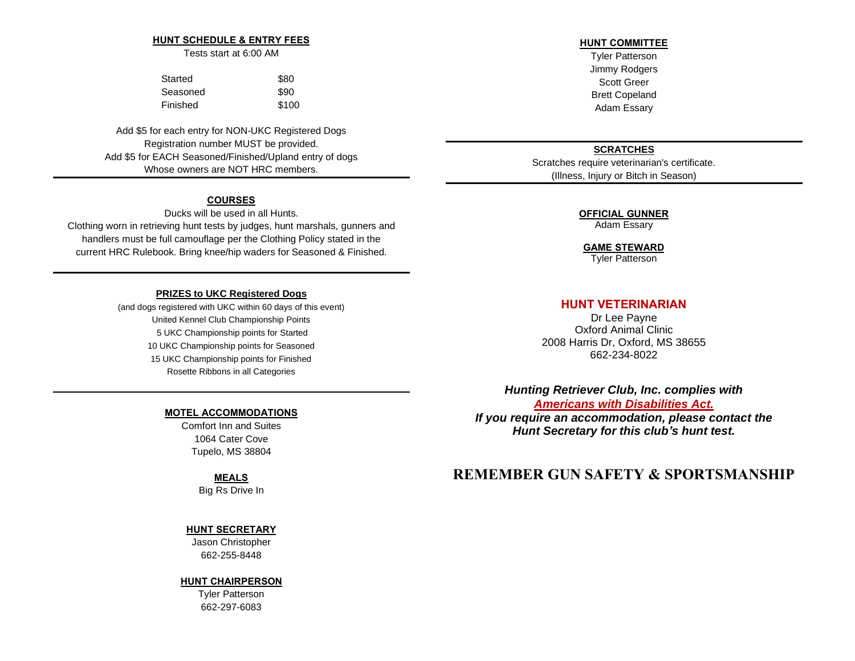#### **HUNT SCHEDULE & ENTRY FEES**

Tests start at 6:00 AM

| Started  | \$80  |
|----------|-------|
| Seasoned | \$90  |
| Finished | \$100 |

Add \$5 for each entry for NON-UKC Registered Dogs Registration number MUST be provided. Add \$5 for EACH Seasoned/Finished/Upland entry of dogs Whose owners are NOT HRC members.

## **COURSES**

Ducks will be used in all Hunts. Clothing worn in retrieving hunt tests by judges, hunt marshals, gunners and

handlers must be full camouflage per the Clothing Policy stated in the current HRC Rulebook. Bring knee/hip waders for Seasoned & Finished.

#### **PRIZES to UKC Registered Dogs**

(and dogs registered with UKC within 60 days of this event) United Kennel Club Championship Points 5 UKC Championship points for Started 10 UKC Championship points for Seasoned 15 UKC Championship points for Finished Rosette Ribbons in all Categories

#### **MOTEL ACCOMMODATIONS**

Comfort Inn and Suites 1064 Cater Cove Tupelo, MS 38804

#### **MEALS**

Big Rs Drive In

#### **HUNT SECRETARY**

Jason Christopher 662-255-8448

#### **HUNT CHAIRPERSON**

Tyler Patterson 662-297-6083

### **HUNT COMMITTEE**

Tyler Patterson Jimmy Rodgers Scott Greer Brett Copeland Adam Essary

## **SCRATCHES**

Scratches require veterinarian's certificate. (Illness, Injury or Bitch in Season)

## **OFFICIAL GUNNER**

Adam Essary

## **GAME STEWARD**

Tyler Patterson

## **HUNT VETERINARIAN**

Dr Lee Payne Oxford Animal Clinic 2008 Harris Dr, Oxford, MS 38655 662-234-8022

*Hunting Retriever Club, Inc. complies with Americans with [Disabilities](https://www.ada.gov/ada_intro.htm) Act. If you require an accommodation, please contact the Hunt Secretary for this club's hunt test.*

## **REMEMBER GUN SAFETY & SPORTSMANSHIP**